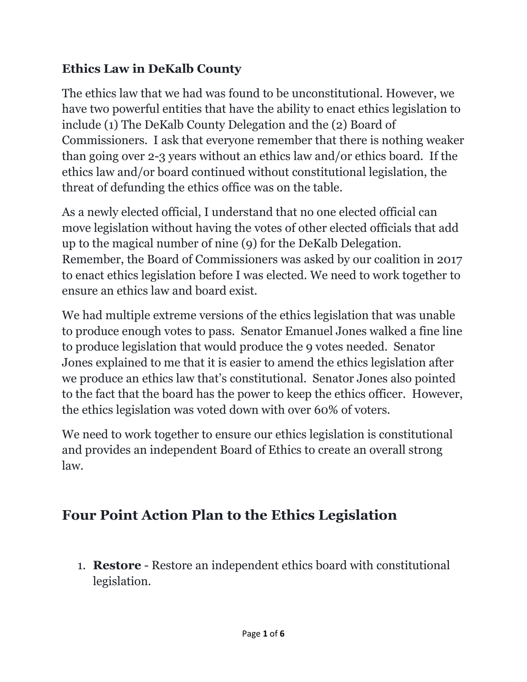### **Ethics Law in DeKalb County**

The ethics law that we had was found to be unconstitutional. However, we have two powerful entities that have the ability to enact ethics legislation to include (1) The DeKalb County Delegation and the (2) Board of Commissioners. I ask that everyone remember that there is nothing weaker than going over 2-3 years without an ethics law and/or ethics board. If the ethics law and/or board continued without constitutional legislation, the threat of defunding the ethics office was on the table.

As a newly elected official, I understand that no one elected official can move legislation without having the votes of other elected officials that add up to the magical number of nine (9) for the DeKalb Delegation. Remember, the Board of Commissioners was asked by our coalition in 2017 to enact ethics legislation before I was elected. We need to work together to ensure an ethics law and board exist.

We had multiple extreme versions of the ethics legislation that was unable to produce enough votes to pass. Senator Emanuel Jones walked a fine line to produce legislation that would produce the 9 votes needed. Senator Jones explained to me that it is easier to amend the ethics legislation after we produce an ethics law that's constitutional. Senator Jones also pointed to the fact that the board has the power to keep the ethics officer. However, the ethics legislation was voted down with over 60% of voters.

We need to work together to ensure our ethics legislation is constitutional and provides an independent Board of Ethics to create an overall strong law.

# **Four Point Action Plan to the Ethics Legislation**

1. **Restore** - Restore an independent ethics board with constitutional legislation.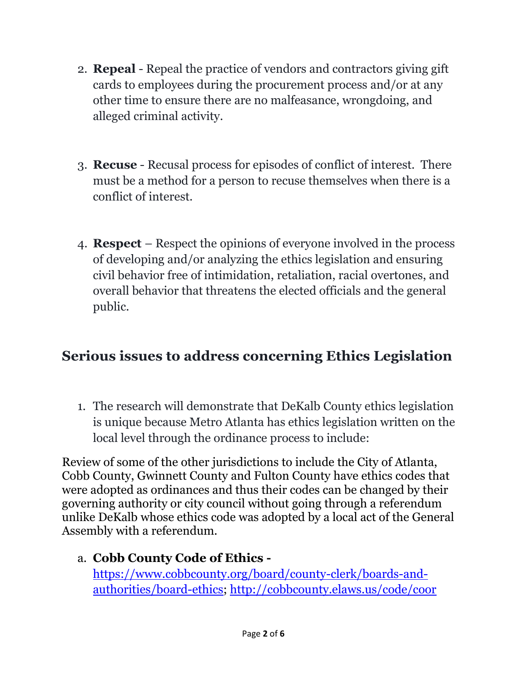- 2. **Repeal**  Repeal the practice of vendors and contractors giving gift cards to employees during the procurement process and/or at any other time to ensure there are no malfeasance, wrongdoing, and alleged criminal activity.
- 3. **Recuse** Recusal process for episodes of conflict of interest. There must be a method for a person to recuse themselves when there is a conflict of interest.
- 4. **Respect**  Respect the opinions of everyone involved in the process of developing and/or analyzing the ethics legislation and ensuring civil behavior free of intimidation, retaliation, racial overtones, and overall behavior that threatens the elected officials and the general public.

### **Serious issues to address concerning Ethics Legislation**

1. The research will demonstrate that DeKalb County ethics legislation is unique because Metro Atlanta has ethics legislation written on the local level through the ordinance process to include:

Review of some of the other jurisdictions to include the City of Atlanta, Cobb County, Gwinnett County and Fulton County have ethics codes that were adopted as ordinances and thus their codes can be changed by their governing authority or city council without going through a referendum unlike DeKalb whose ethics code was adopted by a local act of the General Assembly with a referendum.

a. **Cobb County Code of Ethics**  [https://www.cobbcounty.org/board/county-clerk/boards-and](https://www.cobbcounty.org/board/county-clerk/boards-and-authorities/board-ethics)[authorities/board-ethics;](https://www.cobbcounty.org/board/county-clerk/boards-and-authorities/board-ethics)<http://cobbcounty.elaws.us/code/coor>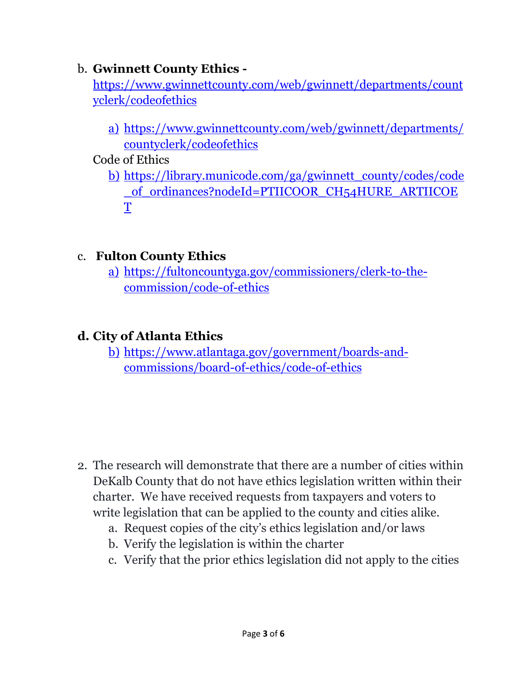#### b. **Gwinnett County Ethics -**

[https://www.gwinnettcounty.com/web/gwinnett/departments/count](https://www.gwinnettcounty.com/web/gwinnett/departments/countyclerk/codeofethics) [yclerk/codeofethics](https://www.gwinnettcounty.com/web/gwinnett/departments/countyclerk/codeofethics)

- a) [https://www.gwinnettcounty.com/web/gwinnett/departments/](https://www.gwinnettcounty.com/web/gwinnett/departments/countyclerk/codeofethics) [countyclerk/codeofethics](https://www.gwinnettcounty.com/web/gwinnett/departments/countyclerk/codeofethics)
- Code of Ethics
	- b) [https://library.municode.com/ga/gwinnett\\_county/codes/code](https://library.municode.com/ga/gwinnett_county/codes/code_of_ordinances?nodeId=PTIICOOR_CH54HURE_ARTIICOET) of ordinances?nodeId=PTIICOOR CH54HURE ARTIICOE [T](https://library.municode.com/ga/gwinnett_county/codes/code_of_ordinances?nodeId=PTIICOOR_CH54HURE_ARTIICOET)

#### c. **Fulton County Ethics**

a) [https://fultoncountyga.gov/commissioners/clerk-to-the](https://fultoncountyga.gov/commissioners/clerk-to-the-commission/code-of-ethics)[commission/code-of-ethics](https://fultoncountyga.gov/commissioners/clerk-to-the-commission/code-of-ethics)

### **d. City of Atlanta Ethics**

b) [https://www.atlantaga.gov/government/boards-and](https://www.atlantaga.gov/government/boards-and-commissions/board-of-ethics/code-of-ethics)[commissions/board-of-ethics/code-of-ethics](https://www.atlantaga.gov/government/boards-and-commissions/board-of-ethics/code-of-ethics)

- 2. The research will demonstrate that there are a number of cities within DeKalb County that do not have ethics legislation written within their charter. We have received requests from taxpayers and voters to write legislation that can be applied to the county and cities alike.
	- a. Request copies of the city's ethics legislation and/or laws
	- b. Verify the legislation is within the charter
	- c. Verify that the prior ethics legislation did not apply to the cities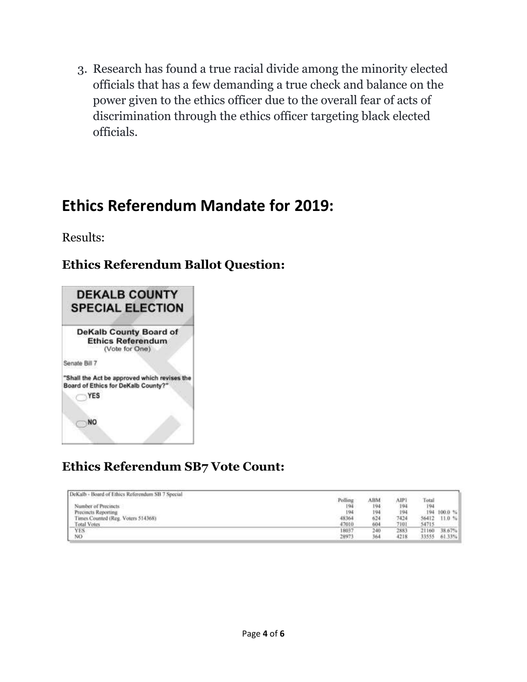3. Research has found a true racial divide among the minority elected officials that has a few demanding a true check and balance on the power given to the ethics officer due to the overall fear of acts of discrimination through the ethics officer targeting black elected officials.

## **Ethics Referendum Mandate for 2019:**

Results:

#### **Ethics Referendum Ballot Question:**



### **Ethics Referendum SB7 Vote Count:**

| DeKalb - Board of Ethics Referendum SB 7 Special |         |                |      |       |                    |
|--------------------------------------------------|---------|----------------|------|-------|--------------------|
|                                                  | Polling | ABM            | AIP. | Total |                    |
| Number of Precincts                              | 194     | 194            | 194  | 194   |                    |
| Precincts Reporting                              | 194     | 194            | 194  | 194   | 100.0 <sup>o</sup> |
| Times Counted (Reg. Voters 514368).              | 48364   | 624            | 7424 | 56412 | 11.0%              |
| <b>Total Votes</b>                               | 47010   | 604            | 7101 | 54715 |                    |
| <b>YES</b>                                       | 1803    | $\pm 40^\circ$ | 2883 | 71160 | 38.67%             |
| NO                                               | 2897.   | 36             | 4218 | 33555 | 61.33%             |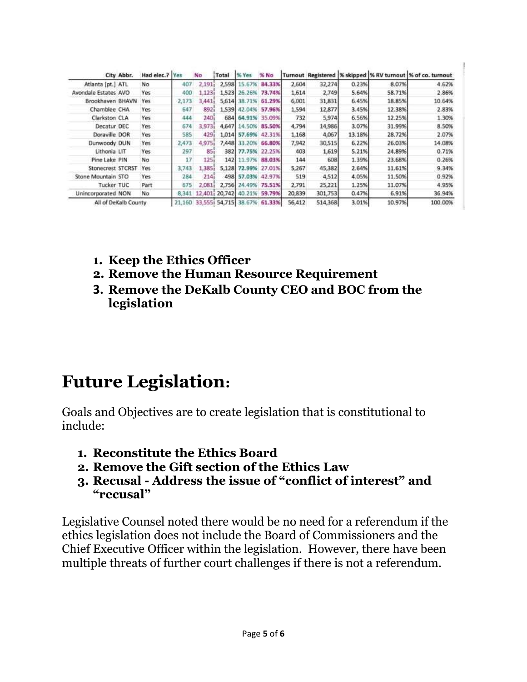| City Abbr.           | Had elec.? Yes |        | <b>No</b> | Total          | % Yes                 | % No          |        |         |        |        | Turnout Registered  % skipped  % RV turnout  % of co. turnout |
|----------------------|----------------|--------|-----------|----------------|-----------------------|---------------|--------|---------|--------|--------|---------------------------------------------------------------|
| Atlanta [pt.] ATL    | No             | 407    | 2.191     |                | 2,598 15.67%          | 84.33%        | 2,604  | 32,274  | 0.23%  | 8.07%  | 4.62%                                                         |
| Avondale Estates AVO | Yes            | 400    | 1.1231    | 1,523          |                       | 26.26% 73.74% | 1,614  | 2,749   | 5.64%  | 58.71% | 2.86%                                                         |
| Brookhaven BHAVN     | Yes            | 2.173  | 3,441.    | 5.614          |                       | 38.71% 61.29% | 6,001  | 31,831  | 6.45%  | 18.85% | 10.64%                                                        |
| Chamblee CHA         | Yes            | 647    | 8921      | 1,539          |                       | 42.04% 57.96% | 1,594  | 12,877  | 3.45%  | 12.38% | 2.83%                                                         |
| Clarkston CLA        | Yes            | 444    | 240i      | 684            |                       | 64.91% 35.09% | 732    | 5.974   | 6.56%  | 12.25% | 1.30%                                                         |
| Decatur DEC          | Yes            | 674    | 3,973     | 4,647          |                       | 14.50% 85.50% | 4,794  | 14,986  | 3.07%  | 31.99% | 8.50%                                                         |
| Doraville DOR        | Yes            | 585    | 429       | 1,014          |                       | 57.69% 42.31% | 1,168  | 4,067   | 13.18% | 28.72% | 2.07%                                                         |
| Dunwoody DUN         | Yes            | 2,473  | 4,975     | 7,448          | 33.20%                | 66.80%        | 7,942  | 30,515  | 6.22%  | 26.03% | 14.08%                                                        |
| Lithonia LIT         | Yes            | 297    | 85        | 382            |                       | 77.75% 22.25% | 403    | 1,619   | 5.21%  | 24,89% | 0.71%                                                         |
| Pine Lake PIN        | No             | 17     | 1251      | 1421           | 11.97%                | 88.03%        | 144    | 608     | 1.39%  | 23.68% | 0.26%                                                         |
| Stonecrest STCRST    | Yes:           | 3,743  | 1,385     |                | 5,128 72.99% 27.01%   |               | 5,267  | 45,382  | 2.64%  | 11.61% | 9.34%                                                         |
| Stone Mountain STO   | Yes            | 284    | 214       | 498            |                       | 57.03% 42.97% | 519    | 4,512   | 4.05%  | 11.50% | 0.92%                                                         |
| Tucker TUC           | Part           | 675    | 2,081     | 2,756          |                       | 24.49% 75.51% | 2,791  | 25,221  | 1.25%  | 11.07% | 4.95%                                                         |
| Unincorporated NON   | No             | 8,341  |           | 12,401; 20,742 | 40.21%                | 59.79%        | 20,839 | 301,753 | 0.47%  | 6.91%  | 36.94%                                                        |
| All of DeKalb County |                | 21,160 |           |                | 33,5551 54,715 38.67% | 61.33%        | 56,412 | 514,368 | 3.01%  | 10.97% | 100.00%                                                       |

- **1. Keep the Ethics Officer**
- **2. Remove the Human Resource Requirement**
- **3. Remove the DeKalb County CEO and BOC from the legislation**

# **Future Legislation:**

Goals and Objectives are to create legislation that is constitutional to include:

- **1. Reconstitute the Ethics Board**
- **2. Remove the Gift section of the Ethics Law**
- **3. Recusal - Address the issue of "conflict of interest" and "recusal"**

Legislative Counsel noted there would be no need for a referendum if the ethics legislation does not include the Board of Commissioners and the Chief Executive Officer within the legislation. However, there have been multiple threats of further court challenges if there is not a referendum.